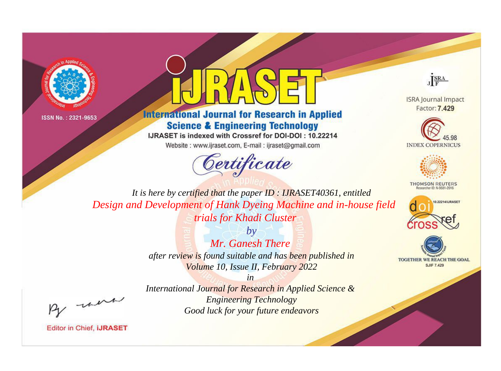



**International Journal for Research in Applied Science & Engineering Technology** 

IJRASET is indexed with Crossref for DOI-DOI: 10.22214

Website: www.ijraset.com, E-mail: ijraset@gmail.com



JERA

**ISRA Journal Impact** Factor: 7.429





**THOMSON REUTERS** 



TOGETHER WE REACH THE GOAL **SJIF 7.429** 

It is here by certified that the paper ID: IJRASET40361, entitled Design and Development of Hank Dyeing Machine and in-house field trials for Khadi Cluster

> $b\nu$ Mr. Ganesh There after review is found suitable and has been published in Volume 10, Issue II, February 2022

> > $in$

International Journal for Research in Applied Science & **Engineering Technology** Good luck for your future endeavors

were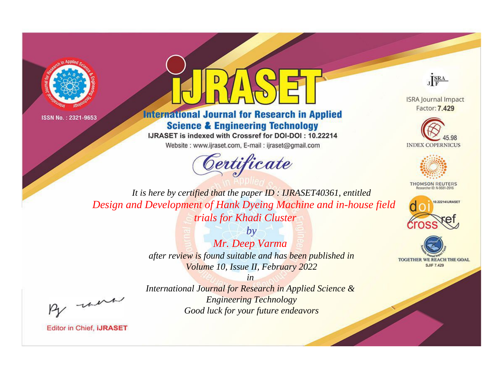



**International Journal for Research in Applied Science & Engineering Technology** 

IJRASET is indexed with Crossref for DOI-DOI: 10.22214

Website: www.ijraset.com, E-mail: ijraset@gmail.com





**ISRA Journal Impact** Factor: 7.429





**THOMSON REUTERS** 



TOGETHER WE REACH THE GOAL **SJIF 7.429** 

*It is here by certified that the paper ID : IJRASET40361, entitled Design and Development of Hank Dyeing Machine and in-house field trials for Khadi Cluster*

*by Mr. Deep Varma after review is found suitable and has been published in Volume 10, Issue II, February 2022*

, un

*International Journal for Research in Applied Science & Engineering Technology Good luck for your future endeavors*

*in*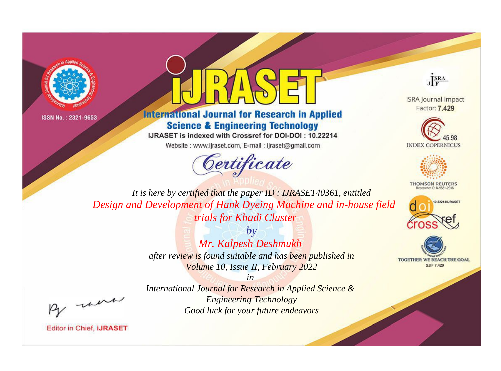



**International Journal for Research in Applied Science & Engineering Technology** 

IJRASET is indexed with Crossref for DOI-DOI: 10.22214

Website: www.ijraset.com, E-mail: ijraset@gmail.com



JERA

**ISRA Journal Impact** Factor: 7.429





**THOMSON REUTERS** 



TOGETHER WE REACH THE GOAL **SJIF 7.429** 

It is here by certified that the paper ID: IJRASET40361, entitled Design and Development of Hank Dyeing Machine and in-house field trials for Khadi Cluster

> $b\nu$ Mr. Kalpesh Deshmukh after review is found suitable and has been published in Volume 10, Issue II, February 2022

> $in$ International Journal for Research in Applied Science & **Engineering Technology** Good luck for your future endeavors

were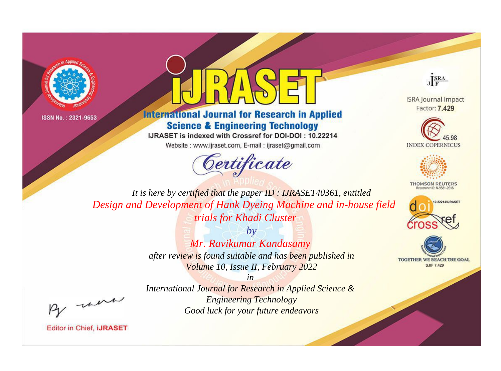



**International Journal for Research in Applied Science & Engineering Technology** 

IJRASET is indexed with Crossref for DOI-DOI: 10.22214

Website: www.ijraset.com, E-mail: ijraset@gmail.com





**ISRA Journal Impact** Factor: 7.429





**THOMSON REUTERS** 



TOGETHER WE REACH THE GOAL **SJIF 7.429** 

*It is here by certified that the paper ID : IJRASET40361, entitled Design and Development of Hank Dyeing Machine and in-house field trials for Khadi Cluster*

> *by Mr. Ravikumar Kandasamy after review is found suitable and has been published in Volume 10, Issue II, February 2022*

, un

*International Journal for Research in Applied Science & Engineering Technology Good luck for your future endeavors*

*in*